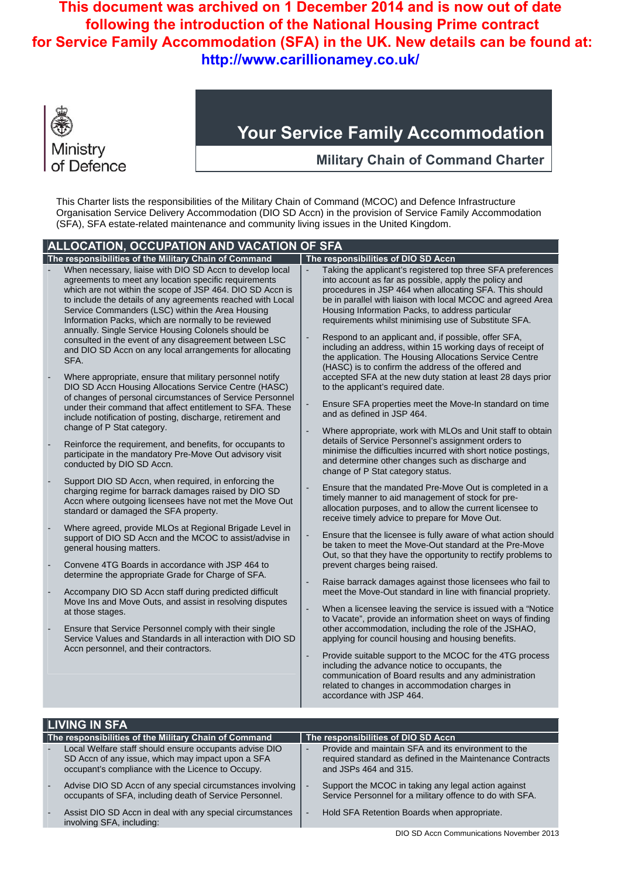

## **Your Service Family Accommodation**

**Military Chain of Command Charter** 

This Charter lists the responsibilities of the Military Chain of Command (MCOC) and Defence Infrastructure Organisation Service Delivery Accommodation (DIO SD Accn) in the provision of Service Family Accommodation (SFA), SFA estate-related maintenance and community living issues in the United Kingdom.

| <b>ALLOCATION, OCCUPATION AND VACATION OF SFA</b> |                                                                                                                                                                                                                                                                                                                                                                                                                                                                                                                                                                                                                                                                                                                                                                                                                                                                                                                                                                                                                                                                                                                                                                                                                                                                                                                                                                                                                                                                                                                                                                                                                                                                                                                                                                                                                                              |                                                                                                                      |                                                                                                                                                                                                                                                                                                                                                                                                                                                                                                                                                                                                                                                                                                                                                                                                                                                                                                                                                                                                                                                                                                                                                                                                                                                                                                                                                                                                                                                                                                                                                                                                                                                                                                                                                                                                                                                                                                                                                                                                                                                                                                                                                                               |
|---------------------------------------------------|----------------------------------------------------------------------------------------------------------------------------------------------------------------------------------------------------------------------------------------------------------------------------------------------------------------------------------------------------------------------------------------------------------------------------------------------------------------------------------------------------------------------------------------------------------------------------------------------------------------------------------------------------------------------------------------------------------------------------------------------------------------------------------------------------------------------------------------------------------------------------------------------------------------------------------------------------------------------------------------------------------------------------------------------------------------------------------------------------------------------------------------------------------------------------------------------------------------------------------------------------------------------------------------------------------------------------------------------------------------------------------------------------------------------------------------------------------------------------------------------------------------------------------------------------------------------------------------------------------------------------------------------------------------------------------------------------------------------------------------------------------------------------------------------------------------------------------------------|----------------------------------------------------------------------------------------------------------------------|-------------------------------------------------------------------------------------------------------------------------------------------------------------------------------------------------------------------------------------------------------------------------------------------------------------------------------------------------------------------------------------------------------------------------------------------------------------------------------------------------------------------------------------------------------------------------------------------------------------------------------------------------------------------------------------------------------------------------------------------------------------------------------------------------------------------------------------------------------------------------------------------------------------------------------------------------------------------------------------------------------------------------------------------------------------------------------------------------------------------------------------------------------------------------------------------------------------------------------------------------------------------------------------------------------------------------------------------------------------------------------------------------------------------------------------------------------------------------------------------------------------------------------------------------------------------------------------------------------------------------------------------------------------------------------------------------------------------------------------------------------------------------------------------------------------------------------------------------------------------------------------------------------------------------------------------------------------------------------------------------------------------------------------------------------------------------------------------------------------------------------------------------------------------------------|
|                                                   | The responsibilities of the Military Chain of Command                                                                                                                                                                                                                                                                                                                                                                                                                                                                                                                                                                                                                                                                                                                                                                                                                                                                                                                                                                                                                                                                                                                                                                                                                                                                                                                                                                                                                                                                                                                                                                                                                                                                                                                                                                                        |                                                                                                                      | The responsibilities of DIO SD Accn                                                                                                                                                                                                                                                                                                                                                                                                                                                                                                                                                                                                                                                                                                                                                                                                                                                                                                                                                                                                                                                                                                                                                                                                                                                                                                                                                                                                                                                                                                                                                                                                                                                                                                                                                                                                                                                                                                                                                                                                                                                                                                                                           |
|                                                   | When necessary, liaise with DIO SD Accn to develop local<br>agreements to meet any location specific requirements<br>which are not within the scope of JSP 464. DIO SD Accn is<br>to include the details of any agreements reached with Local<br>Service Commanders (LSC) within the Area Housing<br>Information Packs, which are normally to be reviewed<br>annually. Single Service Housing Colonels should be<br>consulted in the event of any disagreement between LSC<br>and DIO SD Accn on any local arrangements for allocating<br>SFA.<br>Where appropriate, ensure that military personnel notify<br>DIO SD Accn Housing Allocations Service Centre (HASC)<br>of changes of personal circumstances of Service Personnel<br>under their command that affect entitlement to SFA. These<br>include notification of posting, discharge, retirement and<br>change of P Stat category.<br>Reinforce the requirement, and benefits, for occupants to<br>participate in the mandatory Pre-Move Out advisory visit<br>conducted by DIO SD Accn.<br>Support DIO SD Accn, when required, in enforcing the<br>charging regime for barrack damages raised by DIO SD<br>Accn where outgoing licensees have not met the Move Out<br>standard or damaged the SFA property.<br>Where agreed, provide MLOs at Regional Brigade Level in<br>support of DIO SD Accn and the MCOC to assist/advise in<br>general housing matters.<br>Convene 4TG Boards in accordance with JSP 464 to<br>determine the appropriate Grade for Charge of SFA.<br>Accompany DIO SD Accn staff during predicted difficult<br>Move Ins and Move Outs, and assist in resolving disputes<br>at those stages.<br>Ensure that Service Personnel comply with their single<br>Service Values and Standards in all interaction with DIO SD<br>Accn personnel, and their contractors. | $\overline{\phantom{a}}$<br>$\overline{a}$<br>$\overline{\phantom{a}}$<br>$\overline{a}$<br>$\overline{\phantom{a}}$ | Taking the applicant's registered top three SFA preferences<br>into account as far as possible, apply the policy and<br>procedures in JSP 464 when allocating SFA. This should<br>be in parallel with liaison with local MCOC and agreed Area<br>Housing Information Packs, to address particular<br>requirements whilst minimising use of Substitute SFA.<br>Respond to an applicant and, if possible, offer SFA,<br>including an address, within 15 working days of receipt of<br>the application. The Housing Allocations Service Centre<br>(HASC) is to confirm the address of the offered and<br>accepted SFA at the new duty station at least 28 days prior<br>to the applicant's required date.<br>Ensure SFA properties meet the Move-In standard on time<br>and as defined in JSP 464.<br>Where appropriate, work with MLOs and Unit staff to obtain<br>details of Service Personnel's assignment orders to<br>minimise the difficulties incurred with short notice postings,<br>and determine other changes such as discharge and<br>change of P Stat category status.<br>Ensure that the mandated Pre-Move Out is completed in a<br>timely manner to aid management of stock for pre-<br>allocation purposes, and to allow the current licensee to<br>receive timely advice to prepare for Move Out.<br>Ensure that the licensee is fully aware of what action should<br>be taken to meet the Move-Out standard at the Pre-Move<br>Out, so that they have the opportunity to rectify problems to<br>prevent charges being raised.<br>Raise barrack damages against those licensees who fail to<br>meet the Move-Out standard in line with financial propriety.<br>When a licensee leaving the service is issued with a "Notice"<br>to Vacate", provide an information sheet on ways of finding<br>other accommodation, including the role of the JSHAO,<br>applying for council housing and housing benefits.<br>Provide suitable support to the MCOC for the 4TG process<br>including the advance notice to occupants, the<br>communication of Board results and any administration<br>related to changes in accommodation charges in<br>accordance with JSP 464. |
|                                                   |                                                                                                                                                                                                                                                                                                                                                                                                                                                                                                                                                                                                                                                                                                                                                                                                                                                                                                                                                                                                                                                                                                                                                                                                                                                                                                                                                                                                                                                                                                                                                                                                                                                                                                                                                                                                                                              |                                                                                                                      |                                                                                                                                                                                                                                                                                                                                                                                                                                                                                                                                                                                                                                                                                                                                                                                                                                                                                                                                                                                                                                                                                                                                                                                                                                                                                                                                                                                                                                                                                                                                                                                                                                                                                                                                                                                                                                                                                                                                                                                                                                                                                                                                                                               |

| <b>LIVING IN SFA</b>                                  |                                                                                                                                                                  |                                     |                                                                                                                                           |  |
|-------------------------------------------------------|------------------------------------------------------------------------------------------------------------------------------------------------------------------|-------------------------------------|-------------------------------------------------------------------------------------------------------------------------------------------|--|
| The responsibilities of the Military Chain of Command |                                                                                                                                                                  | The responsibilities of DIO SD Accn |                                                                                                                                           |  |
| . –                                                   | Local Welfare staff should ensure occupants advise DIO<br>SD Accn of any issue, which may impact upon a SFA<br>occupant's compliance with the Licence to Occupy. | -                                   | Provide and maintain SFA and its environment to the<br>required standard as defined in the Maintenance Contracts<br>and JSPs 464 and 315. |  |
| Æ                                                     | Advise DIO SD Accn of any special circumstances involving<br>occupants of SFA, including death of Service Personnel.                                             |                                     | Support the MCOC in taking any legal action against<br>Service Personnel for a military offence to do with SFA.                           |  |
| æ.                                                    | Assist DIO SD Accn in deal with any special circumstances<br>involving SFA, including:                                                                           |                                     | Hold SFA Retention Boards when appropriate.                                                                                               |  |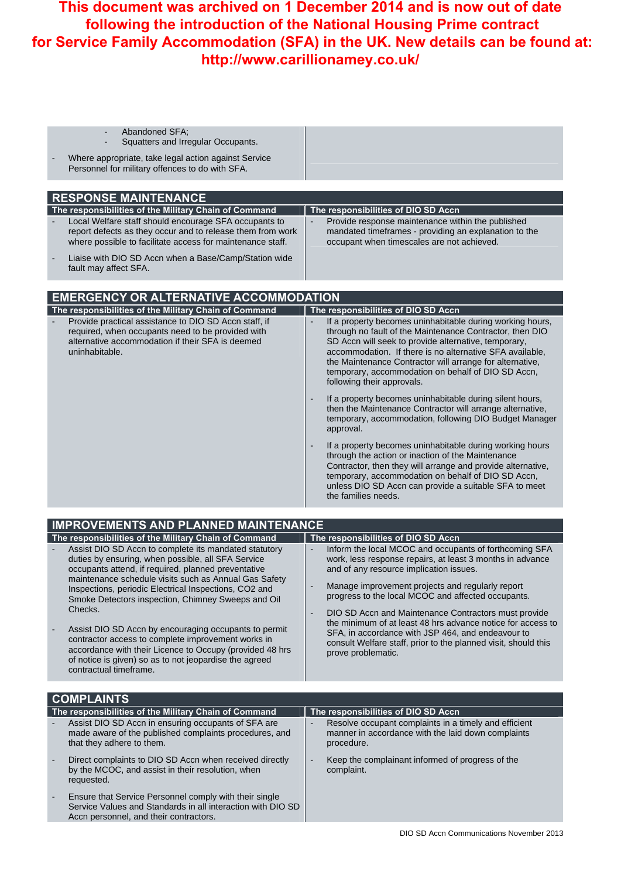|  | Abandoned SFA:                                                                                                                                                                                                                                                                                                                                        |                                                                                                                                                                                                                                                                                                                                                                                           |
|--|-------------------------------------------------------------------------------------------------------------------------------------------------------------------------------------------------------------------------------------------------------------------------------------------------------------------------------------------------------|-------------------------------------------------------------------------------------------------------------------------------------------------------------------------------------------------------------------------------------------------------------------------------------------------------------------------------------------------------------------------------------------|
|  | Squatters and Irregular Occupants.                                                                                                                                                                                                                                                                                                                    |                                                                                                                                                                                                                                                                                                                                                                                           |
|  | Where appropriate, take legal action against Service<br>Personnel for military offences to do with SFA.                                                                                                                                                                                                                                               |                                                                                                                                                                                                                                                                                                                                                                                           |
|  |                                                                                                                                                                                                                                                                                                                                                       |                                                                                                                                                                                                                                                                                                                                                                                           |
|  | <b>RESPONSE MAINTENANCE</b>                                                                                                                                                                                                                                                                                                                           |                                                                                                                                                                                                                                                                                                                                                                                           |
|  | The responsibilities of the Military Chain of Command<br>Local Welfare staff should encourage SFA occupants to<br>report defects as they occur and to release them from work<br>where possible to facilitate access for maintenance staff.<br>Liaise with DIO SD Accn when a Base/Camp/Station wide                                                   | The responsibilities of DIO SD Accn<br>Provide response maintenance within the published<br>mandated timeframes - providing an explanation to the<br>occupant when timescales are not achieved.                                                                                                                                                                                           |
|  | fault may affect SFA.                                                                                                                                                                                                                                                                                                                                 |                                                                                                                                                                                                                                                                                                                                                                                           |
|  | <b>EMERGENCY OR ALTERNATIVE ACCOMMODATION</b>                                                                                                                                                                                                                                                                                                         |                                                                                                                                                                                                                                                                                                                                                                                           |
|  | The responsibilities of the Military Chain of Command                                                                                                                                                                                                                                                                                                 | The responsibilities of DIO SD Accn                                                                                                                                                                                                                                                                                                                                                       |
|  | Provide practical assistance to DIO SD Accn staff, if<br>required, when occupants need to be provided with<br>alternative accommodation if their SFA is deemed<br>uninhabitable.                                                                                                                                                                      | If a property becomes uninhabitable during working hours,<br>through no fault of the Maintenance Contractor, then DIO<br>SD Accn will seek to provide alternative, temporary,<br>accommodation. If there is no alternative SFA available,<br>the Maintenance Contractor will arrange for alternative,<br>temporary, accommodation on behalf of DIO SD Accn,<br>following their approvals. |
|  |                                                                                                                                                                                                                                                                                                                                                       | If a property becomes uninhabitable during silent hours,<br>then the Maintenance Contractor will arrange alternative,<br>temporary, accommodation, following DIO Budget Manager<br>approval.                                                                                                                                                                                              |
|  |                                                                                                                                                                                                                                                                                                                                                       | If a property becomes uninhabitable during working hours<br>through the action or inaction of the Maintenance<br>Contractor, then they will arrange and provide alternative,<br>temporary, accommodation on behalf of DIO SD Accn,<br>unless DIO SD Accn can provide a suitable SFA to meet<br>the families needs.                                                                        |
|  | <b>IMPROVEMENTS AND PLANNED MAINTENANCE</b>                                                                                                                                                                                                                                                                                                           |                                                                                                                                                                                                                                                                                                                                                                                           |
|  | The responsibilities of the Military Chain of Command                                                                                                                                                                                                                                                                                                 | The responsibilities of DIO SD Accn                                                                                                                                                                                                                                                                                                                                                       |
|  | Assist DIO SD Accn to complete its mandated statutory<br>duties by ensuring, when possible, all SFA Service<br>occupants attend, if required, planned preventative<br>maintenance schedule visits such as Annual Gas Safety<br>Inspections, periodic Electrical Inspections, CO2 and<br>Smoke Detectors inspection, Chimney Sweeps and Oil<br>Checks. | Inform the local MCOC and occupants of forthcoming SFA<br>$\frac{1}{2}$<br>work, less response repairs, at least 3 months in advance<br>and of any resource implication issues.<br>Manage improvement projects and regularly report<br>progress to the local MCOC and affected occupants.                                                                                                 |
|  |                                                                                                                                                                                                                                                                                                                                                       | DIO SD Accn and Maintenance Contractors must provide<br>$\overline{a}$<br>the minimum of at least 48 hrs advance notice for access to                                                                                                                                                                                                                                                     |
|  | Assist DIO SD Accn by encouraging occupants to permit<br>contractor access to complete improvement works in<br>accordance with their Licence to Occupy (provided 48 hrs<br>of notice is given) so as to not jeopardise the agreed<br>contractual timeframe.                                                                                           | SFA, in accordance with JSP 464, and endeavour to<br>consult Welfare staff, prior to the planned visit, should this<br>prove problematic.                                                                                                                                                                                                                                                 |
|  | <b>COMPLAINTS</b>                                                                                                                                                                                                                                                                                                                                     |                                                                                                                                                                                                                                                                                                                                                                                           |
|  | The responsibilities of the Military Chain of Command                                                                                                                                                                                                                                                                                                 | The responsibilities of DIO SD Accn                                                                                                                                                                                                                                                                                                                                                       |
|  | Assist DIO SD Accn in ensuring occupants of SFA are<br>made aware of the published complaints procedures, and<br>that they adhere to them.                                                                                                                                                                                                            | Resolve occupant complaints in a timely and efficient<br>manner in accordance with the laid down complaints<br>procedure.                                                                                                                                                                                                                                                                 |
|  | Direct complaints to DIO SD Accn when received directly<br>by the MCOC, and assist in their resolution, when<br>requested.                                                                                                                                                                                                                            | Keep the complainant informed of progress of the<br>complaint.                                                                                                                                                                                                                                                                                                                            |
|  | Ensure that Service Personnel comply with their single<br>Service Values and Standards in all interaction with DIO SD<br>Accn personnel, and their contractors.                                                                                                                                                                                       |                                                                                                                                                                                                                                                                                                                                                                                           |